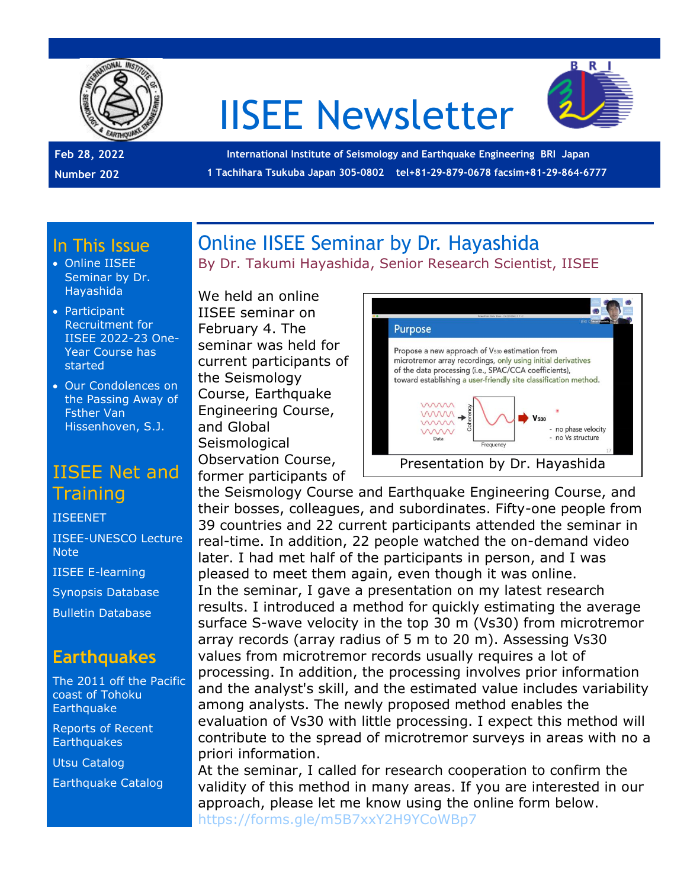

# IISEE Newsletter



**Feb 28, 2022 Number 202**

**International Institute of Seismology and Earthquake Engineering BRI Japan 1 Tachihara Tsukuba Japan 305-0802 tel+81-29-879-0678 facsim+81-29-864-6777**

#### In This Issue

- Online IISEE Seminar by Dr. Hayashida
- Participant Recruitment for IISEE 2022-23 One-Year Course has started
- Our Condolences on the Passing Away of Fsther Van Hissenhoven, S.J.

## IISEE Net and **Training**

[IISEENET](http://iisee.kenken.go.jp/net/)

[IISEE-UNESCO Lecture](http://iisee/lna/)  **[Note](http://iisee/lna/)** [IISEE E-learning](http://iisee/el/) [Synopsis Database](http://iisee/syndb/) [Bulletin Database](http://iisee/bltndb/)

## **Earthquakes**

- [The 2011 off the Pacific](http://iisee/special2/20110311tohoku.htm)  coast [of Tohoku](http://iisee/special2/20110311tohoku.htm)  **[Earthquake](http://iisee/special2/20110311tohoku.htm)**
- [Reports of Recent](http://iisee/quakes.htm)  **[Earthquakes](http://iisee/quakes.htm)**

[Utsu Catalog](http://iisee/utsu/index_eng.html)

[Earthquake Catalog](http://iisee/eqcat/Top_page_en.htm)

## Online IISEE Seminar by Dr. Hayashida By Dr. Takumi Hayashida, Senior Research Scientist, IISEE

We held an online IISEE seminar on February 4. The seminar was held for current participants of the Seismology Course, Earthquake Engineering Course, and Global **Seismological** Observation Course, former participants of



the Seismology Course and Earthquake Engineering Course, and their bosses, colleagues, and subordinates. Fifty-one people from 39 countries and 22 current participants attended the seminar in real-time. In addition, 22 people watched the on-demand video later. I had met half of the participants in person, and I was pleased to meet them again, even though it was online. In the seminar, I gave a presentation on my latest research results. I introduced a method for quickly estimating the average surface S-wave velocity in the top 30 m (Vs30) from microtremor array records (array radius of 5 m to 20 m). Assessing Vs30 values from microtremor records usually requires a lot of processing. In addition, the processing involves prior information and the analyst's skill, and the estimated value includes variability among analysts. The newly proposed method enables the evaluation of Vs30 with little processing. I expect this method will contribute to the spread of microtremor surveys in areas with no a priori information.

At the seminar, I called for research cooperation to confirm the validity of this method in many areas. If you are interested in our approach, please let me know using the online form below. <https://forms.gle/m5B7xxY2H9YCoWBp7>